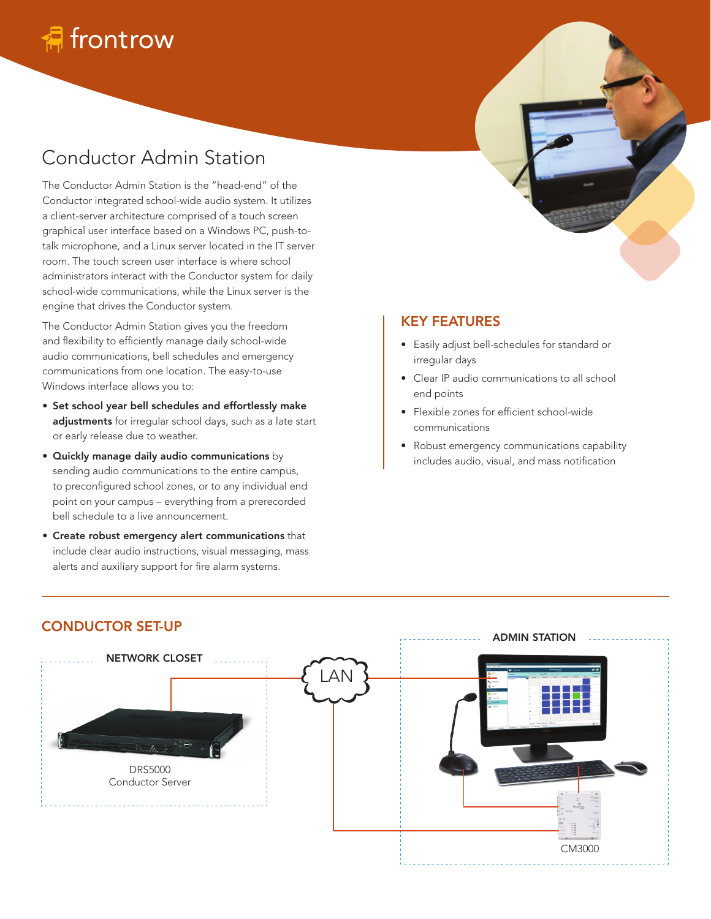# Conductor Admin Station

The Conductor Admin Station is the "head-end" of the Conductor integrated school-wide audio system. It utilizes a client-server architecture comprised of a touch screen graphical user interface based on a Windows PC, push-totalk microphone, and a Linux server located in the IT server room. The touch screen user interface is where school administrators interact with the Conductor system for daily school-wide communications, while the Linux server is the engine that drives the Conductor system.

The Conductor Admin Station gives you the freedom and flexibility to efficiently manage daily school-wide audio communications, bell schedules and emergency communications from one location. The easy-to-use Windows interface allows you to:

- Set school year bell schedules and effortlessly make adjustments for irregular school days, such as a late start or early release due to weather.
- Quickly manage daily audio communications by sending audio communications to the entire campus, to preconfigured school zones, or to any individual end point on your campus – everything from a prerecorded bell schedule to a live announcement.
- Create robust emergency alert communications that include clear audio instructions, visual messaging, mass alerts and auxiliary support for fire alarm systems.

### KEY FEATURES

- Easily adjust bell-schedules for standard or irregular days
- Clear IP audio communications to all school end points
- Flexible zones for efficient school-wide communications
- Robust emergency communications capability includes audio, visual, and mass notification



## CONDUCTOR SET-UP